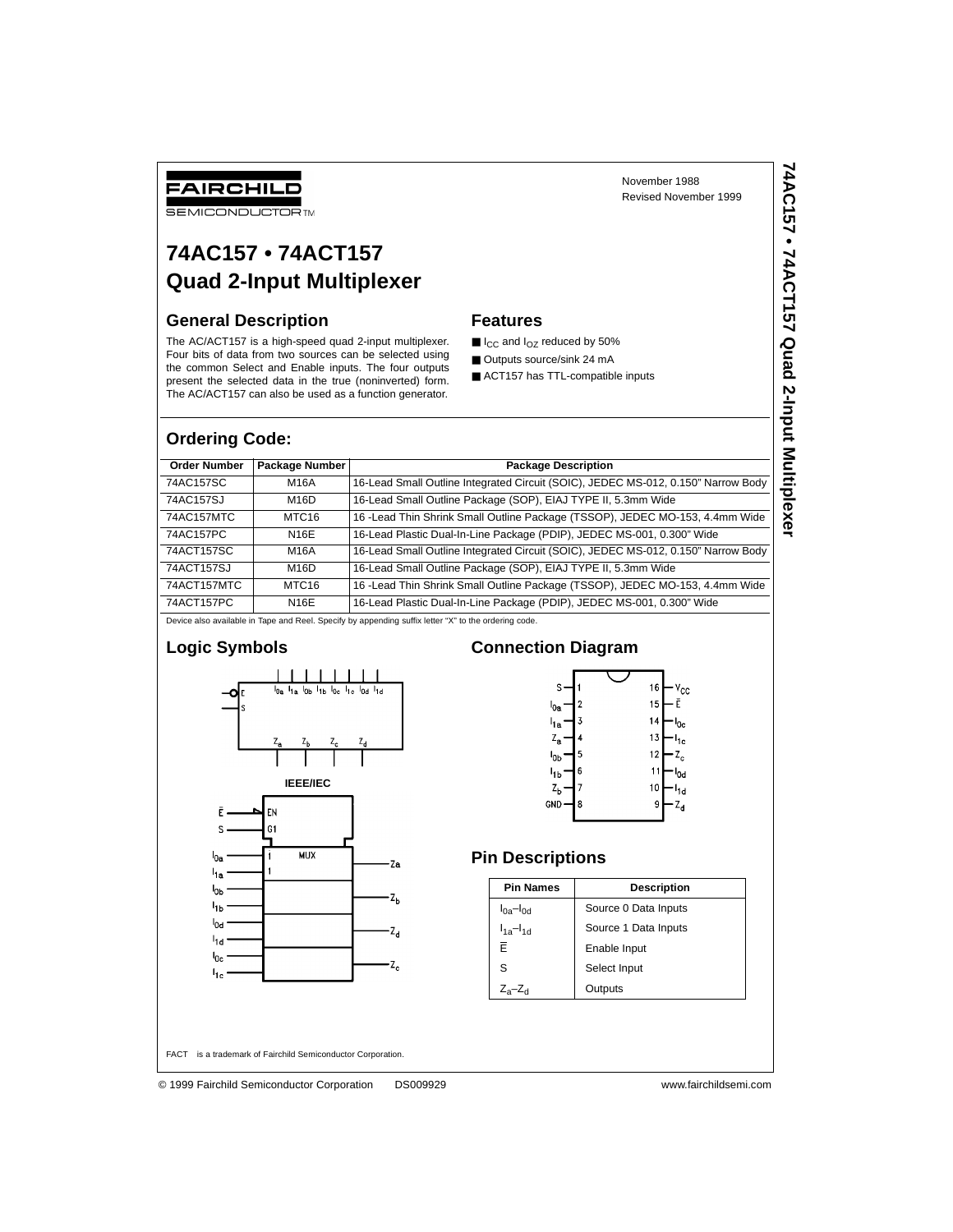November 1988 Revised November 1999 **74AC157 • 74ACT157 Quad 2-Input Multiplexer**

74AC157 • 74ACT157 Quad 2-Input Multiplexer

## FAIRCHILD

**SEMICONDUCTOR TM** 

## **74AC157 • 74ACT157 Quad 2-Input Multiplexer**

### **General Description**

The AC/ACT157 is a high-speed quad 2-input multiplexer. Four bits of data from two sources can be selected using the common Select and Enable inputs. The four outputs present the selected data in the true (noninverted) form. The AC/ACT157 can also be used as a function generator.

### **Features**

- I<sub>CC</sub> and I<sub>OZ</sub> reduced by 50%
- Outputs source/sink 24 mA
- ACT157 has TTL-compatible inputs

### **Ordering Code:**

| <b>Order Number</b> | Package Number    | <b>Package Description</b>                                                        |
|---------------------|-------------------|-----------------------------------------------------------------------------------|
| 74AC157SC           | M16A              | 16-Lead Small Outline Integrated Circuit (SOIC), JEDEC MS-012, 0.150" Narrow Body |
| 74AC157SJ           | M <sub>16</sub> D | 16-Lead Small Outline Package (SOP), EIAJ TYPE II, 5.3mm Wide                     |
| 74AC157MTC          | MTC <sub>16</sub> | 16 - Lead Thin Shrink Small Outline Package (TSSOP), JEDEC MO-153, 4.4mm Wide     |
| 74AC157PC           | <b>N16E</b>       | 16-Lead Plastic Dual-In-Line Package (PDIP), JEDEC MS-001, 0.300" Wide            |
| 74ACT157SC          | M16A              | 16-Lead Small Outline Integrated Circuit (SOIC), JEDEC MS-012, 0.150" Narrow Body |
| 74ACT157SJ          | M <sub>16</sub> D | 16-Lead Small Outline Package (SOP), EIAJ TYPE II, 5.3mm Wide                     |
| 74ACT157MTC         | MTC <sub>16</sub> | 16 - Lead Thin Shrink Small Outline Package (TSSOP), JEDEC MO-153, 4.4mm Wide     |
| 74ACT157PC          | <b>N16E</b>       | 16-Lead Plastic Dual-In-Line Package (PDIP), JEDEC MS-001, 0.300" Wide            |

Device also available in Tape and Reel. Specify by appending suffix letter "X" to the ordering code.

### **Logic Symbols**



### **Connection Diagram**



### **Pin Descriptions**

| <b>Pin Names</b>    | <b>Description</b>   |
|---------------------|----------------------|
| $I_{0a}$ - $I_{0d}$ | Source 0 Data Inputs |
| $I_{1a} - I_{1d}$   | Source 1 Data Inputs |
| F                   | Enable Input         |
| S                   | Select Input         |
| $Z_a - Z_d$         | Outputs              |

FACT™ is a trademark of Fairchild Semiconductor Corporation.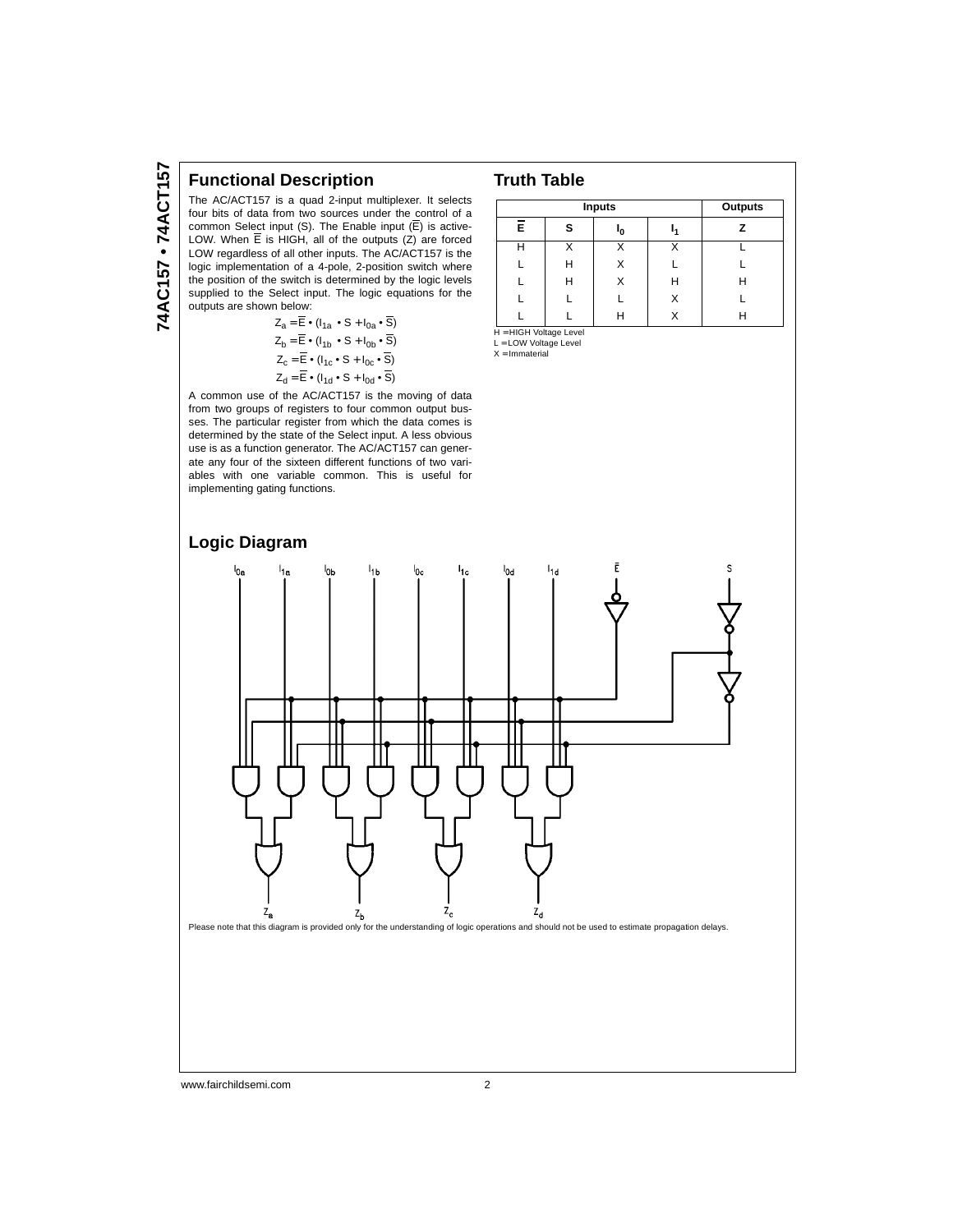### **Functional Description**

The AC/ACT157 is a quad 2-input multiplexer. It selects four bits of data from two sources under the control of a common Select input (S). The Enable input (E) is active-LOW. When E is HIGH, all of the outputs (Z) are forced LOW regardless of all other inputs. The AC/ACT157 is the logic implementation of a 4-pole, 2-position switch where the position of the switch is determined by the logic levels supplied to the Select input. The logic equations for the outputs are shown below:

| $Z_a = \overline{E} \cdot (I_{1a} \cdot S + I_{0a} \cdot \overline{S})$ |
|-------------------------------------------------------------------------|
| $Z_b = \overline{E} \cdot (I_{1b} \cdot S + I_{0b} \cdot \overline{S})$ |
| $Z_c = \overline{E} \cdot (I_{1c} \cdot S + I_{0c} \cdot \overline{S})$ |
| $Z_d = E \cdot (I_{1d} \cdot S + I_{0d} \cdot S)$                       |

A common use of the AC/ACT157 is the moving of data from two groups of registers to four common output busses. The particular register from which the data comes is determined by the state of the Select input. A less obvious use is as a function generator. The AC/ACT157 can generate any four of the sixteen different functions of two variables with one variable common. This is useful for implementing gating functions.



|    | Outputs |    |   |   |
|----|---------|----|---|---|
| Ē. | s       | 'n |   |   |
| н  |         |    |   |   |
|    | н       | x  |   |   |
|    | н       | x  | Н | н |
|    |         |    | X |   |
|    |         |    |   |   |

H = HIGH Voltage Level

L = LOW Voltage Level  $X = Immaterial$ 

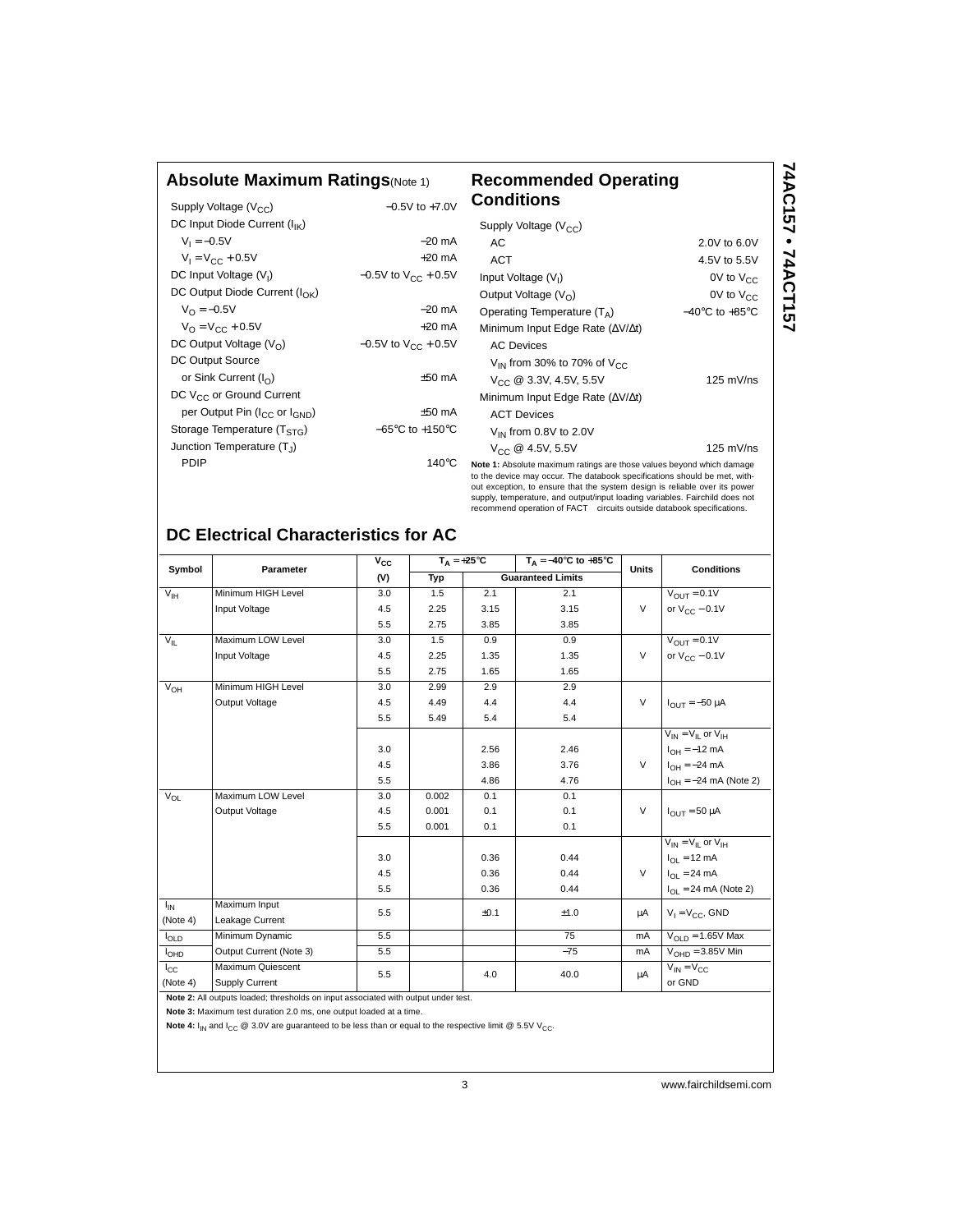### **Absolute Maximum Ratings**(Note 1) **Recommended Operating**

| Supply Voltage $(V_{CC})$                             | $-0.5V$ to $+7.0V$                  | о            |
|-------------------------------------------------------|-------------------------------------|--------------|
| DC Input Diode Current $(I_{IK})$                     |                                     |              |
| $V_1 = -0.5V$                                         | $-20$ mA                            |              |
| $V_1 = V_{CC} + 0.5V$                                 | $+20$ mA                            |              |
| DC Input Voltage (V <sub>I</sub> )                    | $-0.5V$ to $V_{CC}$ + 0.5V          |              |
| DC Output Diode Current $(I_{\cap K})$                |                                     |              |
| $V_{\Omega} = -0.5V$                                  | $-20$ mA                            |              |
| $V_{\Omega} = V_{\Omega C} + 0.5V$                    | $+20$ mA                            |              |
| DC Output Voltage $(V0)$                              | $-0.5V$ to $V_{CC}$ + 0.5V          |              |
| DC Output Source                                      |                                     |              |
| or Sink Current $(I_{\Omega})$                        | $±50$ mA                            |              |
| DC V <sub>CC</sub> or Ground Current                  |                                     |              |
| per Output Pin (I <sub>CC</sub> or I <sub>GND</sub> ) | $±50$ mA                            |              |
| Storage Temperature (T <sub>STG</sub> )               | $-65^{\circ}$ C to $+150^{\circ}$ C |              |
| Junction Temperature (T <sub>1</sub> )                |                                     |              |
| PDIP                                                  | 140 $\mathrm{^{\circ}C}$            | Nc           |
|                                                       |                                     | to<br>$\sim$ |

### **Conditions Note 1:** Absolute maximum ratings are those values beyond which damage Supply Voltage  $(V_{CC})$  AC 2.0V to 6.0V ACT 4.5V to 5.5V Input Voltage  $(V<sub>1</sub>)$ 0V to  $V_{CC}$ Output Voltage  $(V_O)$  0V to  $V_{CC}$ Operating Temperature  $(T_A)$   $-40^{\circ}$ C to +85°C Minimum Input Edge Rate (∆V/∆t) AC Devices  $V_{IN}$  from 30% to 70% of  $V_{CC}$  $V_{CC}$  @ 3.3V, 4.5V, 5.5V 125 mV/ns Minimum Input Edge Rate (∆V/∆t) ACT Devices  $V_{IN}$  from 0.8V to 2.0V  $V_{\rm CC} \ @ \ 4.5V, \ 5.5V$  125 mV/ns

**74AC157 • 74ACT157**

74AC157 • 74ACT157

the device may occur. The databook specifications should be met, without exception, to ensure that the system design is reliable over its power supply, temperature, and output/input loading variables. Fairchild does not recommend operation of FACT™ circuits outside databook specifications.

### **DC Electrical Characteristics for AC**

| Symbol          | Parameter                                                                          | $\overline{v}_{cc}$ |       | $T_A = +25^{\circ}C$ | $T_A = -40^\circ \text{C}$ to $+85^\circ \text{C}$ | <b>Units</b> | <b>Conditions</b>                        |
|-----------------|------------------------------------------------------------------------------------|---------------------|-------|----------------------|----------------------------------------------------|--------------|------------------------------------------|
|                 |                                                                                    | (V)                 | Typ   |                      | <b>Guaranteed Limits</b>                           |              |                                          |
| $V_{\text{IH}}$ | Minimum HIGH Level                                                                 | 3.0                 | 1.5   | 2.1                  | 2.1                                                |              | $V_{OIII} = 0.1V$                        |
|                 | Input Voltage                                                                      | 4.5                 | 2.25  | 3.15                 | 3.15                                               | $\vee$       | or $V_{CC}$ – 0.1V                       |
|                 |                                                                                    | 5.5                 | 2.75  | 3.85                 | 3.85                                               |              |                                          |
| $V_{\parallel}$ | Maximum LOW Level                                                                  | 3.0                 | 1.5   | 0.9                  | 0.9                                                |              | $V_{\text{OUT}} = 0.1V$                  |
|                 | Input Voltage                                                                      | 4.5                 | 2.25  | 1.35                 | 1.35                                               | V            | or $V_{CC}$ – 0.1V                       |
|                 |                                                                                    | 5.5                 | 2.75  | 1.65                 | 1.65                                               |              |                                          |
| $V_{OH}$        | Minimum HIGH Level                                                                 | 3.0                 | 2.99  | 2.9                  | 2.9                                                |              |                                          |
|                 | Output Voltage                                                                     | 4.5                 | 4.49  | 4.4                  | 4.4                                                | $\vee$       | $I_{OIII} = -50 \mu A$                   |
|                 |                                                                                    | 5.5                 | 5.49  | 5.4                  | 5.4                                                |              |                                          |
|                 |                                                                                    |                     |       |                      |                                                    |              | $V_{IN} = V_{II}$ or $V_{IH}$            |
|                 |                                                                                    | 3.0                 |       | 2.56                 | 2.46                                               |              | $I_{OH} = -12$ mA                        |
|                 |                                                                                    | 4.5                 |       | 3.86                 | 3.76                                               | $\vee$       | $I_{OH} = -24 \text{ mA}$                |
|                 |                                                                                    | 5.5                 |       | 4.86                 | 4.76                                               |              | $I_{OH} = -24$ mA (Note 2)               |
| $V_{OL}$        | Maximum LOW Level                                                                  | 3.0                 | 0.002 | 0.1                  | 0.1                                                |              |                                          |
|                 | Output Voltage                                                                     | 4.5                 | 0.001 | 0.1                  | 0.1                                                | V            | $I_{OIII}$ = 50 µA                       |
|                 |                                                                                    | 5.5                 | 0.001 | 0.1                  | 0.1                                                |              |                                          |
|                 |                                                                                    |                     |       |                      |                                                    |              | $V_{IN} = V_{II}$ or $V_{IH}$            |
|                 |                                                                                    | 3.0                 |       | 0.36                 | 0.44                                               |              | $I_{\Omega I} = 12 \text{ mA}$           |
|                 |                                                                                    | 4.5                 |       | 0.36                 | 0.44                                               | V            | $I_{\Omega I} = 24 \text{ mA}$           |
|                 |                                                                                    | 5.5                 |       | 0.36                 | 0.44                                               |              | $I_{\text{OI}} = 24 \text{ mA}$ (Note 2) |
| $I_{IN}$        | Maximum Input                                                                      | 5.5                 |       | ±0.1                 | ±1.0                                               | μA           | $V_1 = V_{CC}$ , GND                     |
| (Note 4)        | Leakage Current                                                                    |                     |       |                      |                                                    |              |                                          |
| <b>l</b> old    | Minimum Dynamic                                                                    | 5.5                 |       |                      | 75                                                 | mA           | $V_{\text{OL}}$ n = 1.65V Max            |
| <b>I</b> OHD    | Output Current (Note 3)                                                            | 5.5                 |       |                      | $-75$                                              | mA           | $VOHD = 3.85V$ Min                       |
| $_{\rm{lc}}$    | Maximum Quiescent                                                                  | 5.5                 |       | 4.0                  | 40.0                                               | μA           | $V_{IN} = V_{CC}$                        |
| (Note 4)        | Supply Current                                                                     |                     |       |                      |                                                    |              | or GND                                   |
|                 | Note 2: All outputs loaded; thresholds on input associated with output under test. |                     |       |                      |                                                    |              |                                          |

**Note 3:** Maximum test duration 2.0 ms, one output loaded at a time.

Note 4:  $I_{IN}$  and  $I_{CC}$  @ 3.0V are guaranteed to be less than or equal to the respective limit @ 5.5V V<sub>CC</sub>.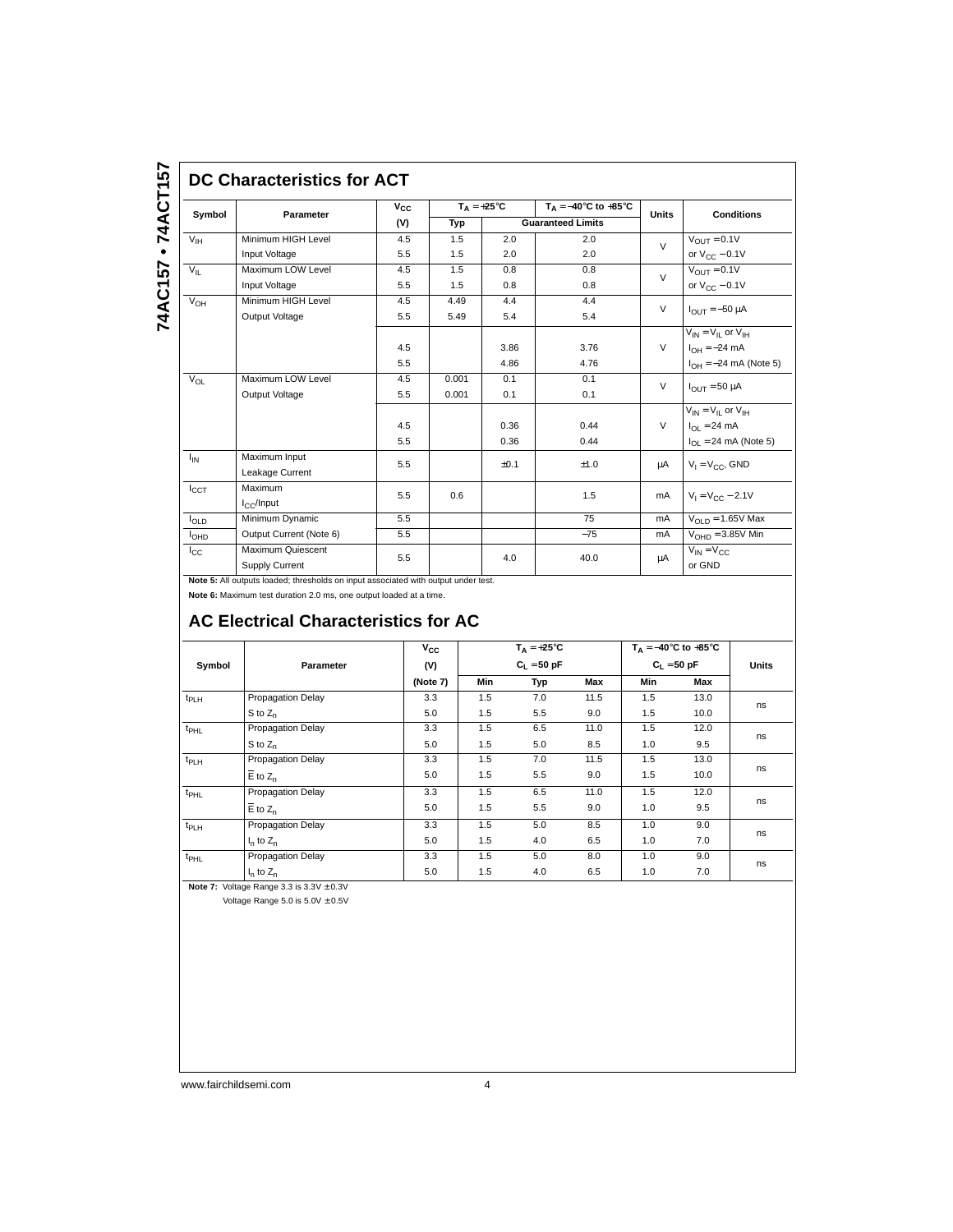# **DC Characteristics for ACT**

| Symbol           | Parameter                           | $V_{CC}$ |       | $T_A = +25^{\circ}C$ | $T_A = -40^\circ \text{C}$ to $+85^\circ \text{C}$ | <b>Units</b>  | <b>Conditions</b>              |  |
|------------------|-------------------------------------|----------|-------|----------------------|----------------------------------------------------|---------------|--------------------------------|--|
|                  |                                     | (V)      | Typ   |                      | <b>Guaranteed Limits</b>                           |               |                                |  |
| $V_{IH}$         | Minimum HIGH Level                  | 4.5      | 1.5   | 2.0                  | 2.0                                                | $\mathcal{U}$ | $V_{\text{OUT}} = 0.1V$        |  |
|                  | Input Voltage                       | 5.5      | 1.5   | 2.0                  | 2.0                                                |               | or $V_{CC}$ – 0.1V             |  |
| $V_{IL}$         | Maximum LOW Level                   | 4.5      | 1.5   | 0.8                  | 0.8                                                | $\mathsf{V}$  | $V_{\text{OUT}} = 0.1V$        |  |
|                  | Input Voltage                       | 5.5      | 1.5   | 0.8                  | 0.8                                                |               | or $V_{CC}$ – 0.1V             |  |
| $V_{OH}$         | Minimum HIGH Level                  | 4.5      | 4.49  | 4.4                  | 4.4                                                | $\vee$        |                                |  |
|                  | Output Voltage                      | 5.5      | 5.49  | 5.4                  | 5.4                                                |               | $I_{OIII} = -50 \mu A$         |  |
|                  |                                     |          |       |                      |                                                    |               | $V_{IN} = V_{II}$ or $V_{IH}$  |  |
|                  |                                     | 4.5      |       | 3.86                 | 3.76                                               | $\vee$        | $I_{OH} = -24 \text{ mA}$      |  |
|                  |                                     | 5.5      |       | 4.86                 | 4.76                                               |               | $I_{OH} = -24$ mA (Note 5)     |  |
| $V_{OL}$         | Maximum LOW Level                   | 4.5      | 0.001 | 0.1                  | 0.1                                                | $\vee$        |                                |  |
|                  | Output Voltage                      | 5.5      | 0.001 | 0.1                  | 0.1                                                |               | $I_{OUT} = 50 \mu A$           |  |
|                  |                                     |          |       |                      |                                                    |               | $V_{IN} = V_{II}$ or $V_{IH}$  |  |
|                  |                                     | 4.5      |       | 0.36                 | 0.44                                               | $\vee$        | $I_{\Omega I} = 24 \text{ mA}$ |  |
|                  |                                     | 5.5      |       | 0.36                 | 0.44                                               |               | $I_{OL}$ = 24 mA (Note 5)      |  |
| $I_{IN}$         | Maximum Input                       | 5.5      |       | ±0.1                 | ±1.0                                               | μA            |                                |  |
|                  | Leakage Current                     |          |       |                      |                                                    |               | $V_1 = V_{CC}$ , GND           |  |
| $I_{CCT}$        | Maximum                             | 5.5      | 0.6   |                      | 1.5                                                | mA            | $V_1 = V_{CC} - 2.1V$          |  |
|                  | $I_{C}$ /Input                      |          |       |                      |                                                    |               |                                |  |
| $I_{OLD}$        | Minimum Dynamic                     | 5.5      |       |                      | 75                                                 | mA            | $V_{OLD} = 1.65V$ Max          |  |
| I <sub>OHD</sub> | Output Current (Note 6)             | 5.5      |       |                      | $-75$                                              | mA            | $V_{OHD} = 3.85V$ Min          |  |
| $_{\rm{cc}}$     | Maximum Quiescent<br>Supply Current | 5.5      |       | 4.0                  | 40.0                                               | μA            | $V_{IN} = V_{C}$<br>or GND     |  |

**Note 5:** All outputs loaded; thresholds on input associated with output under test.

**Note 6:** Maximum test duration 2.0 ms, one output loaded at a time.

### **AC Electrical Characteristics for AC**

|                  |                          | $V_{\rm CC}$ |               | $T_A = +25^{\circ}C$ |      |               | $T_A = -40$ °C to +85°C |       |
|------------------|--------------------------|--------------|---------------|----------------------|------|---------------|-------------------------|-------|
| Symbol           | Parameter                | (V)          | $C_L = 50 pF$ |                      |      | $C_1 = 50 pF$ |                         | Units |
|                  |                          | (Note 7)     | Min           | Typ                  | Max  | Min           | Max                     |       |
| t <sub>PLH</sub> | <b>Propagation Delay</b> | 3.3          | 1.5           | 7.0                  | 11.5 | 1.5           | 13.0                    |       |
|                  | $S$ to $Z_n$             | 5.0          | 1.5           | 5.5                  | 9.0  | 1.5           | 10.0                    | ns    |
| $t_{PHL}$        | Propagation Delay        | 3.3          | 1.5           | 6.5                  | 11.0 | 1.5           | 12.0                    | ns    |
|                  | $S$ to $Z_n$             | 5.0          | 1.5           | 5.0                  | 8.5  | 1.0           | 9.5                     |       |
| t <sub>PLH</sub> | Propagation Delay        | 3.3          | 1.5           | 7.0                  | 11.5 | 1.5           | 13.0                    |       |
|                  | $E$ to $Z_n$             | 5.0          | 1.5           | 5.5                  | 9.0  | 1.5           | 10.0                    | ns    |
| t <sub>PHL</sub> | Propagation Delay        | 3.3          | 1.5           | 6.5                  | 11.0 | 1.5           | 12.0                    |       |
|                  | $E$ to $Z_n$             | 5.0          | 1.5           | 5.5                  | 9.0  | 1.0           | 9.5                     | ns    |
| t <sub>PLH</sub> | Propagation Delay        | 3.3          | 1.5           | 5.0                  | 8.5  | 1.0           | 9.0                     |       |
|                  | $I_n$ to $Z_n$           | 5.0          | 1.5           | 4.0                  | 6.5  | 1.0           | 7.0                     | ns    |
| t <sub>PHL</sub> | Propagation Delay        | 3.3          | 1.5           | 5.0                  | 8.0  | 1.0           | 9.0                     |       |
|                  | $I_n$ to $Z_n$           | 5.0          | 1.5           | 4.0                  | 6.5  | 1.0           | 7.0                     | ns    |

**Note 7:** Voltage Range 3.3 is  $3.3V \pm 0.3V$ 

Voltage Range 5.0 is  $5.0V \pm 0.5V$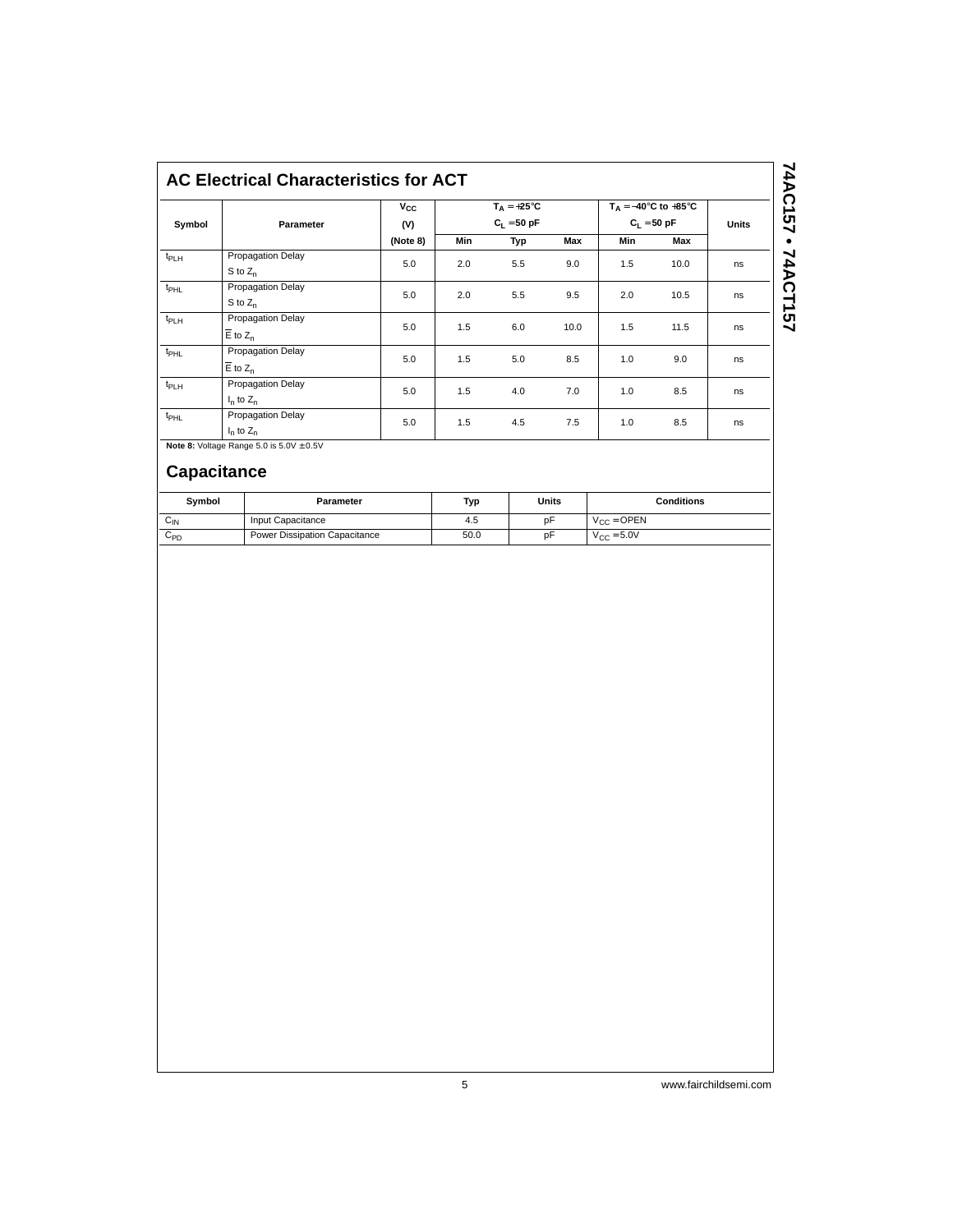|                  |                                     | $v_{\rm cc}$ | $T_A = +25^{\circ}C$<br>$C_L = 50 pF$ |     |      | $T_A = -40^\circ \text{C}$ to $+85^\circ \text{C}$<br>$C_1 = 50 pF$ |      | <b>Units</b> |
|------------------|-------------------------------------|--------------|---------------------------------------|-----|------|---------------------------------------------------------------------|------|--------------|
| Symbol           | Parameter                           | (V)          |                                       |     |      |                                                                     |      |              |
|                  |                                     | (Note 8)     | Min                                   | Typ | Max  | <b>Min</b>                                                          | Max  |              |
| $t_{PLH}$        | Propagation Delay<br>S to $Z_n$     | 5.0          | 2.0                                   | 5.5 | 9.0  | 1.5                                                                 | 10.0 | ns           |
| $t_{\text{PHL}}$ | Propagation Delay<br>S to $Z_n$     | 5.0          | 2.0                                   | 5.5 | 9.5  | 2.0                                                                 | 10.5 | ns           |
| $t_{PLH}$        | Propagation Delay<br>$E$ to $Z_n$   | 5.0          | 1.5                                   | 6.0 | 10.0 | 1.5                                                                 | 11.5 | ns           |
| $t_{\text{PHL}}$ | Propagation Delay<br>$E$ to $Z_n$   | 5.0          | 1.5                                   | 5.0 | 8.5  | 1.0                                                                 | 9.0  | ns           |
| $t_{PLH}$        | Propagation Delay<br>$I_n$ to $Z_n$ | 5.0          | 1.5                                   | 4.0 | 7.0  | 1.0                                                                 | 8.5  | ns           |
| t <sub>PHL</sub> | Propagation Delay<br>$I_n$ to $Z_n$ | 5.0          | 1.5                                   | 4.5 | 7.5  | 1.0                                                                 | 8.5  | ns           |

**Note 8:** Voltage Range 5.0 is  $5.0V \pm 0.5V$ 

### **Capacitance**

| Symbol          | Parameter                     | Typ  | Units | <b>Conditions</b>      |
|-----------------|-------------------------------|------|-------|------------------------|
| Μ∪              | Input Capacitance             | 4.5  | рF    | $V_{CC} =$ OPEN        |
| C <sub>PD</sub> | Power Dissipation Capacitance | 50.0 | pF    | $V_{\text{CC}} = 5.0V$ |

74AC157 • 74ACT157 **74AC157 • 74ACT157**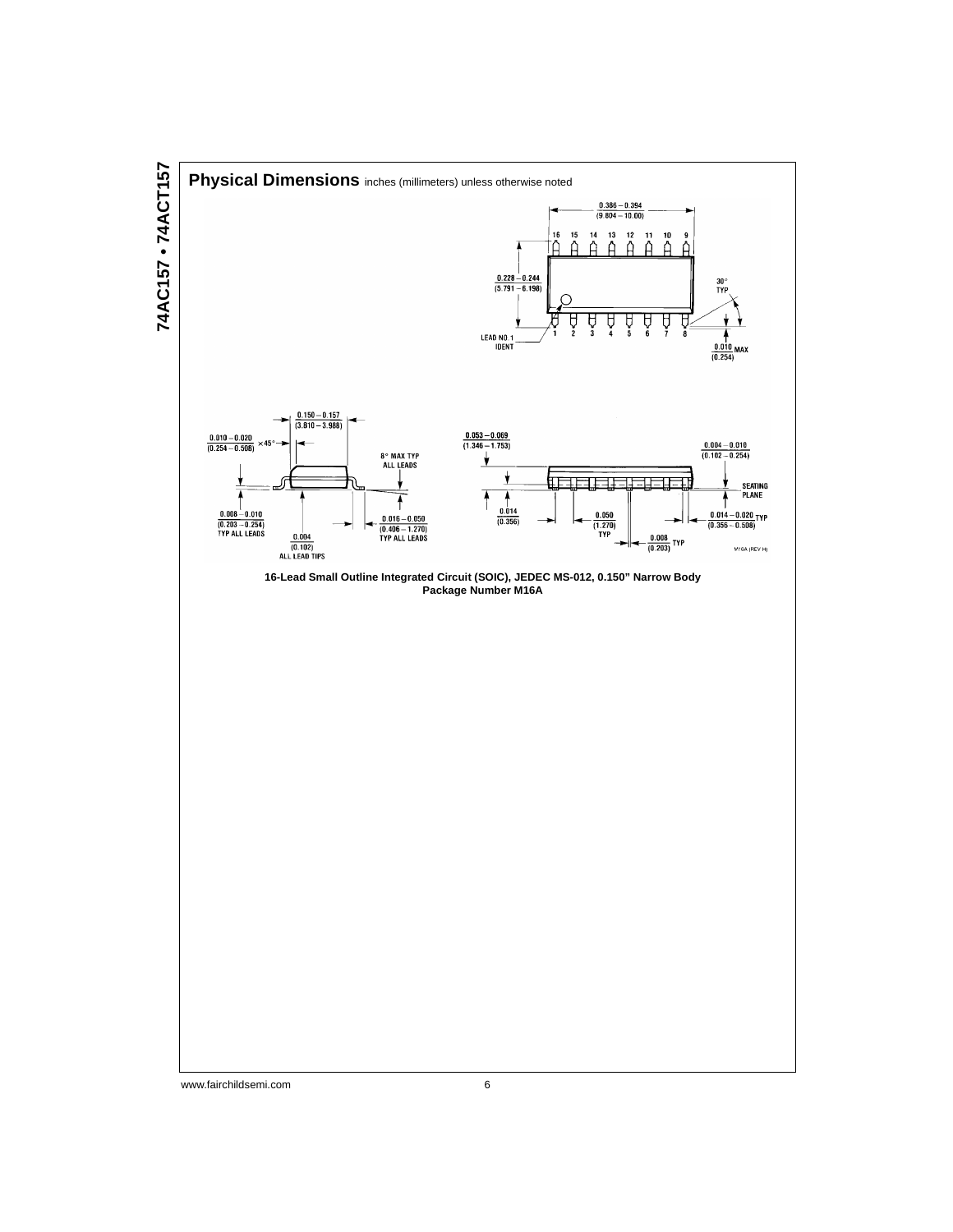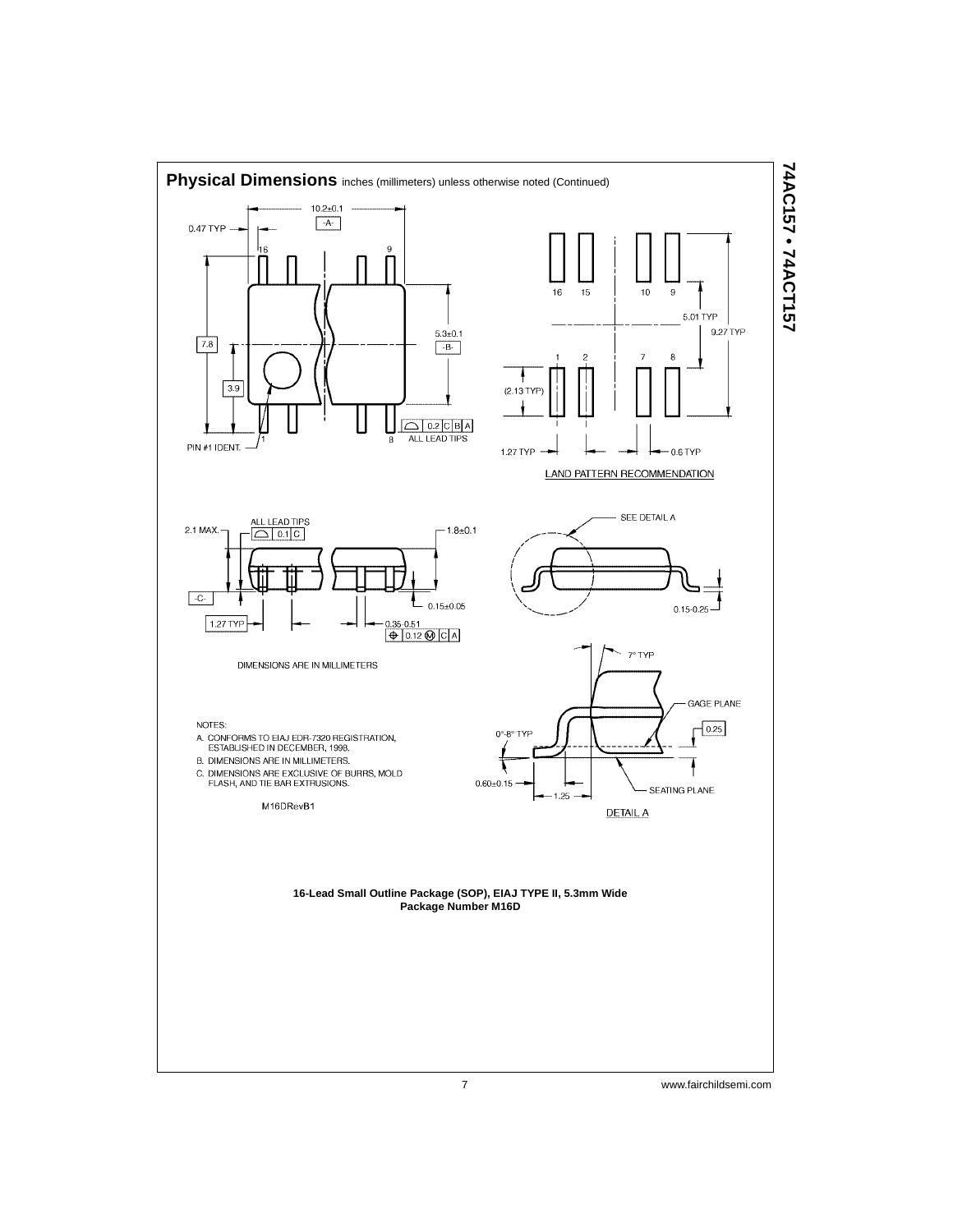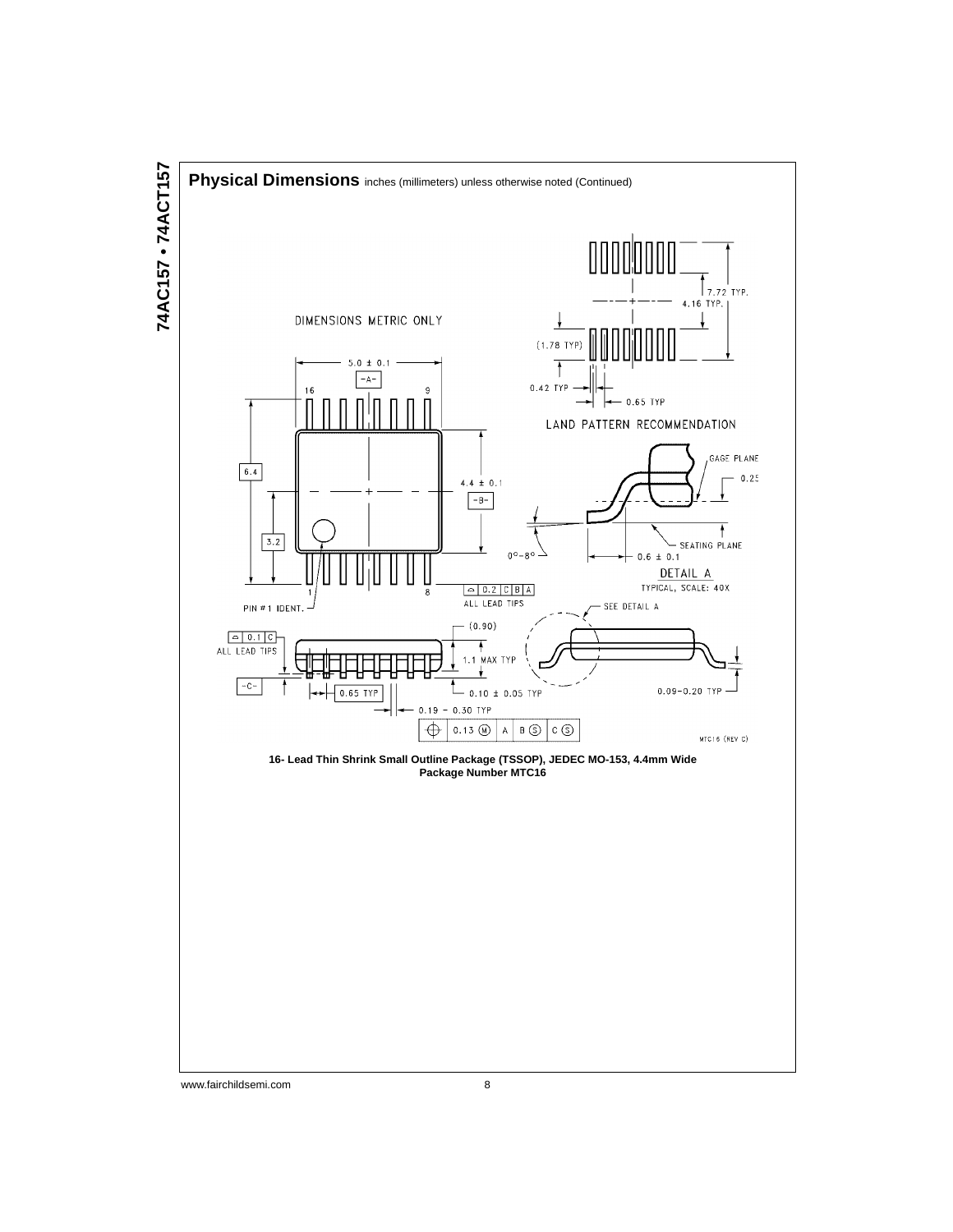

74AC157 · 74ACT157 **74AC157 • 74ACT157**